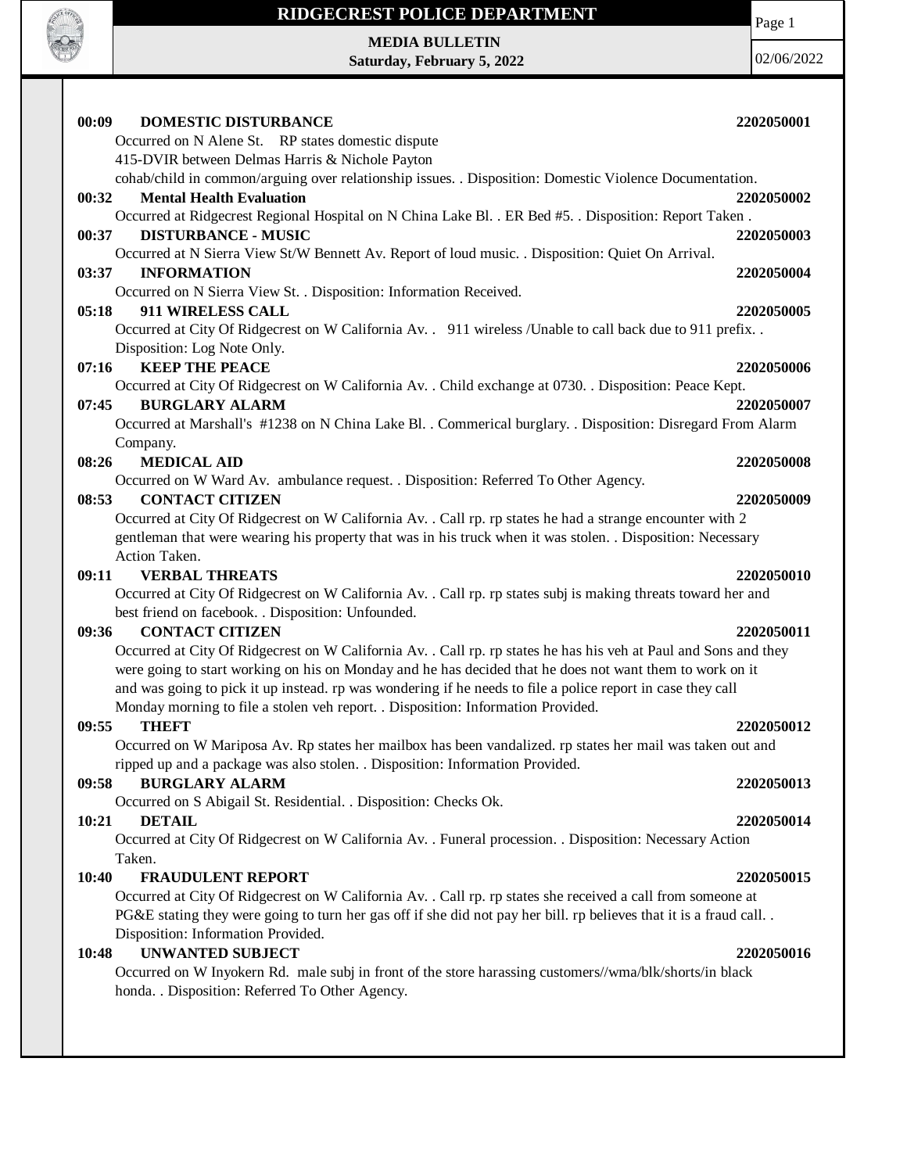

## **RIDGECREST POLICE DEPARTMENT**

**MEDIA BULLETIN Saturday, February 5, 2022** Page 1

02/06/2022

| 00:09<br><b>DOMESTIC DISTURBANCE</b>                                                                              | 2202050001 |
|-------------------------------------------------------------------------------------------------------------------|------------|
| Occurred on N Alene St. RP states domestic dispute                                                                |            |
| 415-DVIR between Delmas Harris & Nichole Payton                                                                   |            |
| cohab/child in common/arguing over relationship issues. . Disposition: Domestic Violence Documentation.           |            |
| <b>Mental Health Evaluation</b><br>00:32                                                                          | 2202050002 |
| Occurred at Ridgecrest Regional Hospital on N China Lake Bl. . ER Bed #5. . Disposition: Report Taken.            |            |
| <b>DISTURBANCE - MUSIC</b><br>00:37                                                                               | 2202050003 |
| Occurred at N Sierra View St/W Bennett Av. Report of loud music. . Disposition: Quiet On Arrival.                 |            |
| 03:37<br><b>INFORMATION</b>                                                                                       | 2202050004 |
| Occurred on N Sierra View St. . Disposition: Information Received.                                                |            |
| 05:18<br>911 WIRELESS CALL                                                                                        | 2202050005 |
| Occurred at City Of Ridgecrest on W California Av. . 911 wireless /Unable to call back due to 911 prefix. .       |            |
| Disposition: Log Note Only.                                                                                       |            |
| <b>KEEP THE PEACE</b><br>07:16                                                                                    | 2202050006 |
| Occurred at City Of Ridgecrest on W California Av. . Child exchange at 0730. . Disposition: Peace Kept.           |            |
| <b>BURGLARY ALARM</b><br>07:45                                                                                    | 2202050007 |
| Occurred at Marshall's #1238 on N China Lake Bl. . Commerical burglary. . Disposition: Disregard From Alarm       |            |
| Company.                                                                                                          |            |
| <b>MEDICAL AID</b><br>08:26                                                                                       | 2202050008 |
| Occurred on W Ward Av. ambulance request. . Disposition: Referred To Other Agency.                                |            |
| <b>CONTACT CITIZEN</b><br>08:53                                                                                   | 2202050009 |
| Occurred at City Of Ridgecrest on W California Av. . Call rp. rp states he had a strange encounter with 2         |            |
| gentleman that were wearing his property that was in his truck when it was stolen. . Disposition: Necessary       |            |
| Action Taken.                                                                                                     |            |
| <b>VERBAL THREATS</b><br>09:11                                                                                    | 2202050010 |
| Occurred at City Of Ridgecrest on W California Av. . Call rp. rp states subj is making threats toward her and     |            |
| best friend on facebook. . Disposition: Unfounded.                                                                |            |
| 09:36<br><b>CONTACT CITIZEN</b>                                                                                   | 2202050011 |
| Occurred at City Of Ridgecrest on W California Av. . Call rp. rp states he has his veh at Paul and Sons and they  |            |
| were going to start working on his on Monday and he has decided that he does not want them to work on it          |            |
| and was going to pick it up instead. rp was wondering if he needs to file a police report in case they call       |            |
| Monday morning to file a stolen veh report. . Disposition: Information Provided.                                  |            |
| <b>THEFT</b><br>09:55                                                                                             | 2202050012 |
| Occurred on W Mariposa Av. Rp states her mailbox has been vandalized. rp states her mail was taken out and        |            |
| ripped up and a package was also stolen. . Disposition: Information Provided.                                     |            |
| <b>BURGLARY ALARM</b><br>09:58                                                                                    | 2202050013 |
| Occurred on S Abigail St. Residential. . Disposition: Checks Ok.                                                  |            |
| <b>DETAIL</b><br>10:21                                                                                            | 2202050014 |
| Occurred at City Of Ridgecrest on W California Av. . Funeral procession. . Disposition: Necessary Action          |            |
| Taken.                                                                                                            |            |
| <b>FRAUDULENT REPORT</b><br>10:40                                                                                 | 2202050015 |
| Occurred at City Of Ridgecrest on W California Av. . Call rp. rp states she received a call from someone at       |            |
| PG&E stating they were going to turn her gas off if she did not pay her bill. rp believes that it is a fraud call |            |
| Disposition: Information Provided.<br><b>UNWANTED SUBJECT</b><br>10:48                                            | 2202050016 |
| Occurred on W Inyokern Rd. male subj in front of the store harassing customers//wma/blk/shorts/in black           |            |
| honda. . Disposition: Referred To Other Agency.                                                                   |            |
|                                                                                                                   |            |
|                                                                                                                   |            |
|                                                                                                                   |            |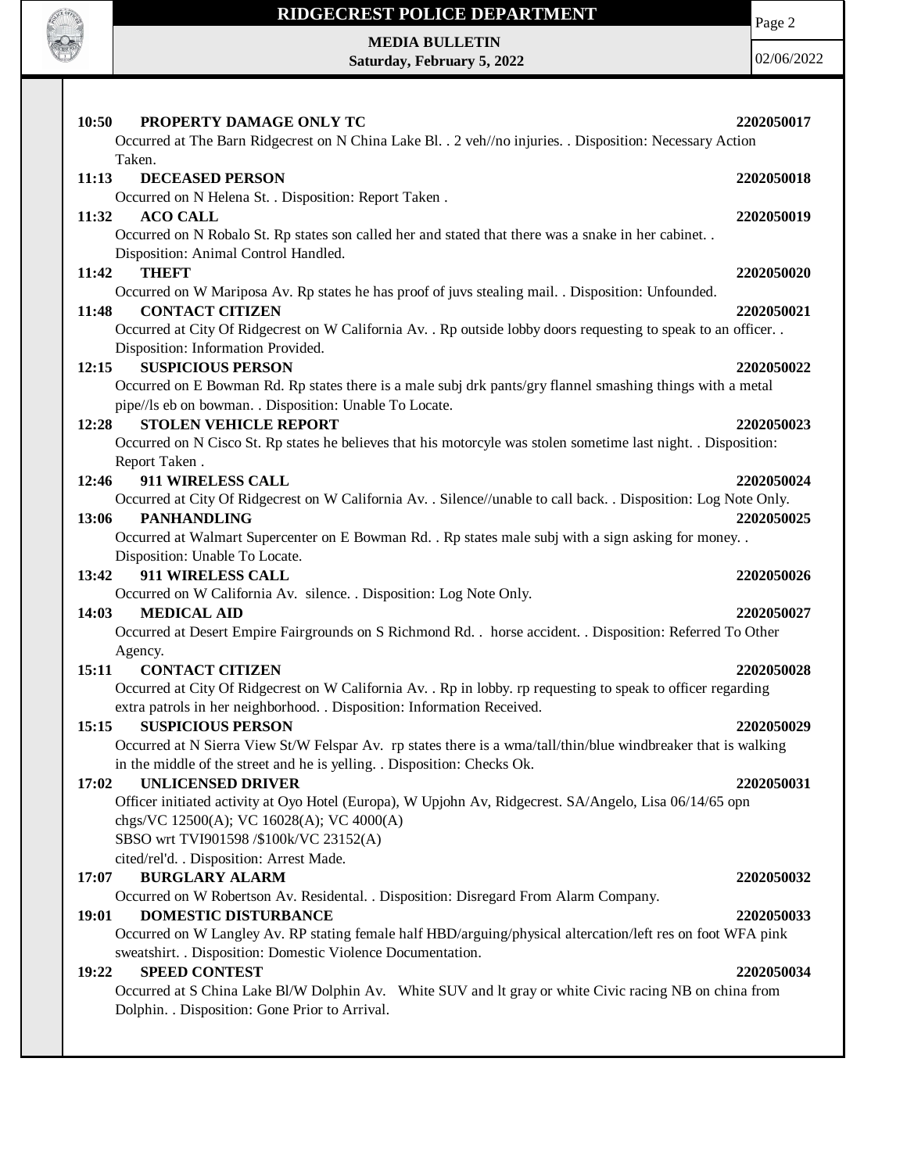

## **RIDGECREST POLICE DEPARTMENT**

Page 2

**MEDIA BULLETIN Saturday, February 5, 2022**

02/06/2022

| 10:50<br>PROPERTY DAMAGE ONLY TC<br>Occurred at The Barn Ridgecrest on N China Lake Bl. . 2 veh//no injuries. . Disposition: Necessary Action       | 2202050017 |
|-----------------------------------------------------------------------------------------------------------------------------------------------------|------------|
| Taken.<br><b>DECEASED PERSON</b><br>11:13                                                                                                           | 2202050018 |
| Occurred on N Helena St. . Disposition: Report Taken .                                                                                              |            |
| <b>ACO CALL</b><br>11:32                                                                                                                            | 2202050019 |
| Occurred on N Robalo St. Rp states son called her and stated that there was a snake in her cabinet. .                                               |            |
| Disposition: Animal Control Handled.                                                                                                                |            |
| <b>THEFT</b><br>11:42                                                                                                                               | 2202050020 |
| Occurred on W Mariposa Av. Rp states he has proof of juvs stealing mail. . Disposition: Unfounded.                                                  |            |
| <b>CONTACT CITIZEN</b><br>11:48<br>Occurred at City Of Ridgecrest on W California Av. . Rp outside lobby doors requesting to speak to an officer. . | 2202050021 |
| Disposition: Information Provided.                                                                                                                  |            |
| <b>SUSPICIOUS PERSON</b><br>12:15                                                                                                                   | 2202050022 |
| Occurred on E Bowman Rd. Rp states there is a male subj drk pants/gry flannel smashing things with a metal                                          |            |
| pipe//ls eb on bowman. . Disposition: Unable To Locate.                                                                                             |            |
| <b>STOLEN VEHICLE REPORT</b><br>12:28                                                                                                               | 2202050023 |
| Occurred on N Cisco St. Rp states he believes that his motorcyle was stolen sometime last night. . Disposition:                                     |            |
| Report Taken.                                                                                                                                       |            |
| 911 WIRELESS CALL<br>12:46                                                                                                                          | 2202050024 |
| Occurred at City Of Ridgecrest on W California Av. . Silence//unable to call back. . Disposition: Log Note Only.                                    |            |
| <b>PANHANDLING</b><br>13:06                                                                                                                         | 2202050025 |
| Occurred at Walmart Supercenter on E Bowman Rd. . Rp states male subj with a sign asking for money. .                                               |            |
| Disposition: Unable To Locate.                                                                                                                      |            |
| 911 WIRELESS CALL<br>13:42                                                                                                                          | 2202050026 |
| Occurred on W California Av. silence. . Disposition: Log Note Only.                                                                                 |            |
| 14:03<br><b>MEDICAL AID</b>                                                                                                                         | 2202050027 |
| Occurred at Desert Empire Fairgrounds on S Richmond Rd. . horse accident. . Disposition: Referred To Other                                          |            |
| Agency.                                                                                                                                             |            |
| <b>CONTACT CITIZEN</b><br>15:11                                                                                                                     | 2202050028 |
| Occurred at City Of Ridgecrest on W California Av. . Rp in lobby. rp requesting to speak to officer regarding                                       |            |
| extra patrols in her neighborhood. . Disposition: Information Received.<br><b>SUSPICIOUS PERSON</b><br>15:15                                        | 2202050029 |
| Occurred at N Sierra View St/W Felspar Av. rp states there is a wma/tall/thin/blue windbreaker that is walking                                      |            |
| in the middle of the street and he is yelling. . Disposition: Checks Ok.                                                                            |            |
| <b>UNLICENSED DRIVER</b><br>17:02                                                                                                                   | 2202050031 |
| Officer initiated activity at Oyo Hotel (Europa), W Upjohn Av, Ridgecrest. SA/Angelo, Lisa 06/14/65 opn                                             |            |
| chgs/VC 12500(A); VC 16028(A); VC 4000(A)                                                                                                           |            |
| SBSO wrt TVI901598 /\$100k/VC 23152(A)                                                                                                              |            |
| cited/rel'd. . Disposition: Arrest Made.                                                                                                            |            |
| 17:07<br><b>BURGLARY ALARM</b>                                                                                                                      | 2202050032 |
| Occurred on W Robertson Av. Residental. . Disposition: Disregard From Alarm Company.                                                                |            |
| <b>DOMESTIC DISTURBANCE</b><br>19:01                                                                                                                | 2202050033 |
| Occurred on W Langley Av. RP stating female half HBD/arguing/physical altercation/left res on foot WFA pink                                         |            |
| sweatshirt. . Disposition: Domestic Violence Documentation.                                                                                         |            |
| <b>SPEED CONTEST</b><br>19:22                                                                                                                       | 2202050034 |
| Occurred at S China Lake Bl/W Dolphin Av. White SUV and It gray or white Civic racing NB on china from                                              |            |
| Dolphin. . Disposition: Gone Prior to Arrival.                                                                                                      |            |
|                                                                                                                                                     |            |
|                                                                                                                                                     |            |